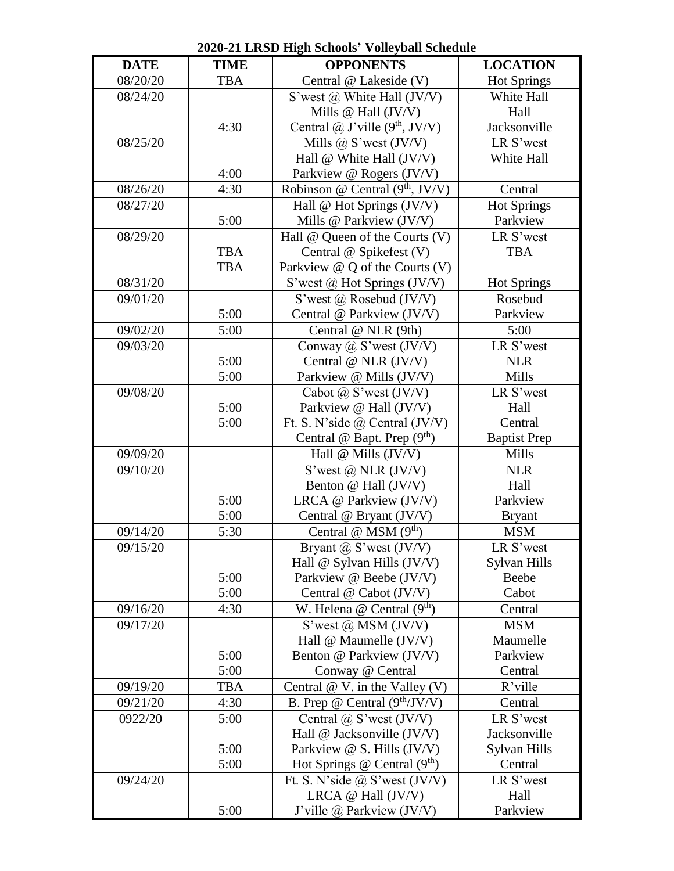| <b>DATE</b> | <b>TIME</b> | <b>OPPONENTS</b>                                               | <b>LOCATION</b>      |
|-------------|-------------|----------------------------------------------------------------|----------------------|
| 08/20/20    | <b>TBA</b>  | Central @ Lakeside (V)                                         | <b>Hot Springs</b>   |
| 08/24/20    |             | S'west $\omega$ White Hall (JV/V)                              | White Hall           |
|             |             | Mills $@$ Hall (JV/V)                                          | Hall                 |
|             | 4:30        | Central $\omega$ J'ville (9 <sup>th</sup> , JV/V)              | Jacksonville         |
| 08/25/20    |             | Mills $\omega$ S'west (JV/V)                                   | LR S'west            |
|             |             | Hall $@$ White Hall $(JV/V)$                                   | White Hall           |
|             | 4:00        | Parkview @ Rogers (JV/V)                                       |                      |
| 08/26/20    | 4:30        | Robinson @ Central $(9^{th}, JV/V)$                            | Central              |
| 08/27/20    |             | Hall $@$ Hot Springs (JV/V)                                    | <b>Hot Springs</b>   |
|             | 5:00        | Mills @ Parkview (JV/V)                                        | Parkview             |
| 08/29/20    |             | Hall $@$ Queen of the Courts $(V)$                             | LR S'west            |
|             | <b>TBA</b>  | Central @ Spikefest (V)                                        | <b>TBA</b>           |
|             | <b>TBA</b>  | Parkview @ Q of the Courts (V)                                 |                      |
| 08/31/20    |             | S'west @ Hot Springs (JV/V)                                    | <b>Hot Springs</b>   |
| 09/01/20    |             | S'west @ Rosebud (JV/V)                                        | Rosebud              |
|             | 5:00        | Central @ Parkview (JV/V)                                      | Parkview             |
| 09/02/20    | 5:00        | Central @ NLR (9th)                                            | 5:00                 |
| 09/03/20    |             | Conway $\omega$ S'west (JV/V)                                  | LR S'west            |
|             | 5:00        | Central @ NLR (JV/V)                                           | <b>NLR</b>           |
|             | 5:00        | Parkview @ Mills (JV/V)                                        | Mills                |
| 09/08/20    |             | Cabot $\omega$ , S'west (JV/V)                                 | LR S'west            |
|             | 5:00        | Parkview @ Hall (JV/V)                                         | Hall                 |
|             | 5:00        | Ft. S. N'side $\omega$ Central (JV/V)                          | Central              |
|             |             | Central @ Bapt. Prep $(9th)$                                   | <b>Baptist Prep</b>  |
| 09/09/20    |             | Hall $@$ Mills $(JV/V)$                                        | Mills                |
| 09/10/20    |             | S'west $\omega$ NLR (JV/V)                                     | <b>NLR</b>           |
|             |             | Benton @ Hall (JV/V)                                           | Hall                 |
|             | 5:00        | LRCA @ Parkview (JV/V)                                         | Parkview             |
|             | 5:00        | Central @ Bryant (JV/V)                                        | <b>Bryant</b>        |
| 09/14/20    | 5:30        | Central $\omega$ MSM $(9th)$                                   | <b>MSM</b>           |
| 09/15/20    |             | Bryant @ S'west (JV/V)                                         | LR S'west            |
|             |             | Hall $@$ Sylvan Hills (JV/V)                                   | Sylvan Hills         |
|             | 5:00        | Parkview @ Beebe (JV/V)                                        | Beebe                |
|             | 5:00        | Central @ Cabot (JV/V)                                         | Cabot                |
| 09/16/20    | 4:30        | W. Helena @ Central $(9th)$                                    | Central              |
| 09/17/20    |             | S'west $\omega$ MSM (JV/V)                                     | <b>MSM</b>           |
|             |             | Hall $@$ Maumelle (JV/V)                                       | Maumelle             |
|             | 5:00        | Benton @ Parkview (JV/V)                                       | Parkview             |
|             | 5:00        | Conway @ Central                                               | Central              |
| 09/19/20    | <b>TBA</b>  | Central $@V.$ in the Valley (V)                                | R'ville              |
| 09/21/20    | 4:30        | B. Prep @ Central $(9th/JV/V)$                                 | Central<br>LR S'west |
| 0922/20     | 5:00        | Central $\omega$ S'west (JV/V)<br>Hall $@$ Jacksonville (JV/V) | Jacksonville         |
|             | 5:00        | Parkview @ S. Hills (JV/V)                                     | Sylvan Hills         |
|             | 5:00        | Hot Springs $@$ Central $(9th)$                                | Central              |
| 09/24/20    |             | Ft. S. N'side $\omega$ S'west (JV/V)                           | LR S'west            |
|             |             | LRCA $@$ Hall (JV/V)                                           | Hall                 |
|             | 5:00        | J'ville $\omega$ Parkview (JV/V)                               | Parkview             |

**2020-21 LRSD High Schools' Volleyball Schedule**